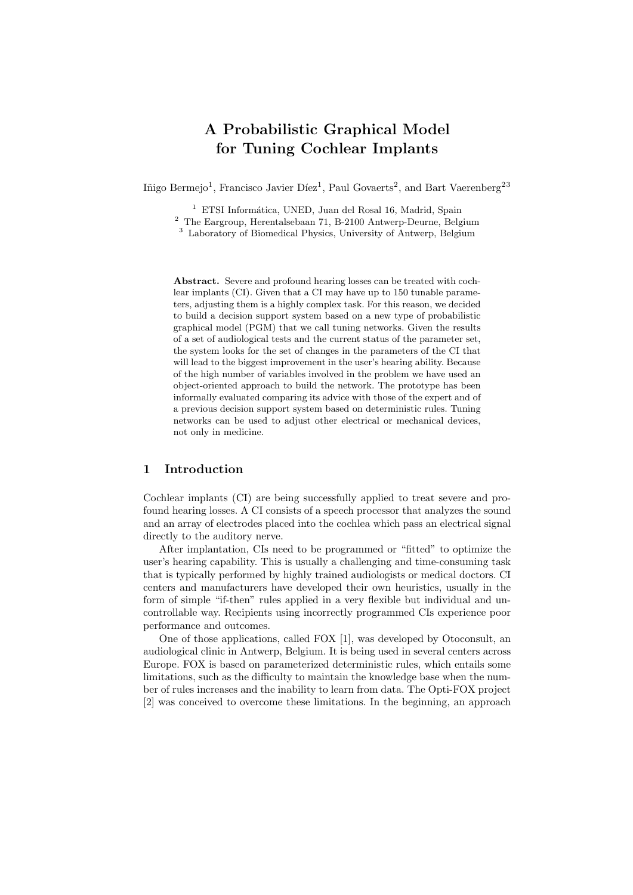# A Probabilistic Graphical Model for Tuning Cochlear Implants

Iñigo Bermejo<sup>1</sup>, Francisco Javier Díez<sup>1</sup>, Paul Govaerts<sup>2</sup>, and Bart Vaerenberg<sup>23</sup>

 $^{\rm 1}$  ETSI Informática, UNED, Juan del Rosal 16, Madrid, Spain

<sup>2</sup> The Eargroup, Herentalsebaan 71, B-2100 Antwerp-Deurne, Belgium

<sup>3</sup> Laboratory of Biomedical Physics, University of Antwerp, Belgium

Abstract. Severe and profound hearing losses can be treated with cochlear implants (CI). Given that a CI may have up to 150 tunable parameters, adjusting them is a highly complex task. For this reason, we decided to build a decision support system based on a new type of probabilistic graphical model (PGM) that we call tuning networks. Given the results of a set of audiological tests and the current status of the parameter set, the system looks for the set of changes in the parameters of the CI that will lead to the biggest improvement in the user's hearing ability. Because of the high number of variables involved in the problem we have used an object-oriented approach to build the network. The prototype has been informally evaluated comparing its advice with those of the expert and of a previous decision support system based on deterministic rules. Tuning networks can be used to adjust other electrical or mechanical devices, not only in medicine.

# 1 Introduction

Cochlear implants (CI) are being successfully applied to treat severe and profound hearing losses. A CI consists of a speech processor that analyzes the sound and an array of electrodes placed into the cochlea which pass an electrical signal directly to the auditory nerve.

After implantation, CIs need to be programmed or "fitted" to optimize the user's hearing capability. This is usually a challenging and time-consuming task that is typically performed by highly trained audiologists or medical doctors. CI centers and manufacturers have developed their own heuristics, usually in the form of simple "if-then" rules applied in a very flexible but individual and uncontrollable way. Recipients using incorrectly programmed CIs experience poor performance and outcomes.

One of those applications, called FOX [1], was developed by Otoconsult, an audiological clinic in Antwerp, Belgium. It is being used in several centers across Europe. FOX is based on parameterized deterministic rules, which entails some limitations, such as the difficulty to maintain the knowledge base when the number of rules increases and the inability to learn from data. The Opti-FOX project [2] was conceived to overcome these limitations. In the beginning, an approach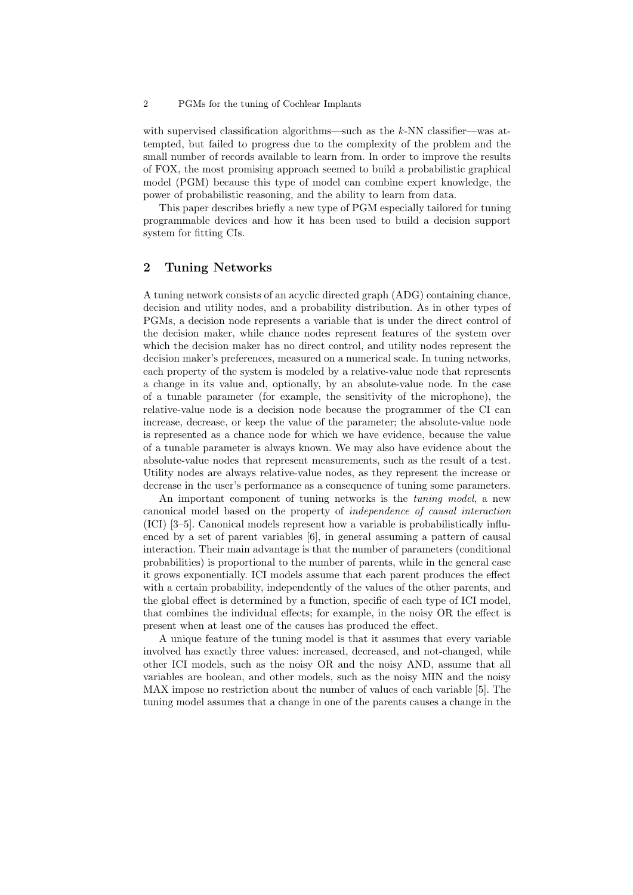#### 2 PGMs for the tuning of Cochlear Implants

with supervised classification algorithms—such as the  $k$ -NN classifier—was attempted, but failed to progress due to the complexity of the problem and the small number of records available to learn from. In order to improve the results of FOX, the most promising approach seemed to build a probabilistic graphical model (PGM) because this type of model can combine expert knowledge, the power of probabilistic reasoning, and the ability to learn from data.

This paper describes briefly a new type of PGM especially tailored for tuning programmable devices and how it has been used to build a decision support system for fitting CIs.

## 2 Tuning Networks

A tuning network consists of an acyclic directed graph (ADG) containing chance, decision and utility nodes, and a probability distribution. As in other types of PGMs, a decision node represents a variable that is under the direct control of the decision maker, while chance nodes represent features of the system over which the decision maker has no direct control, and utility nodes represent the decision maker's preferences, measured on a numerical scale. In tuning networks, each property of the system is modeled by a relative-value node that represents a change in its value and, optionally, by an absolute-value node. In the case of a tunable parameter (for example, the sensitivity of the microphone), the relative-value node is a decision node because the programmer of the CI can increase, decrease, or keep the value of the parameter; the absolute-value node is represented as a chance node for which we have evidence, because the value of a tunable parameter is always known. We may also have evidence about the absolute-value nodes that represent measurements, such as the result of a test. Utility nodes are always relative-value nodes, as they represent the increase or decrease in the user's performance as a consequence of tuning some parameters.

An important component of tuning networks is the *tuning model*, a new canonical model based on the property of independence of causal interaction (ICI) [3–5]. Canonical models represent how a variable is probabilistically influenced by a set of parent variables [6], in general assuming a pattern of causal interaction. Their main advantage is that the number of parameters (conditional probabilities) is proportional to the number of parents, while in the general case it grows exponentially. ICI models assume that each parent produces the effect with a certain probability, independently of the values of the other parents, and the global effect is determined by a function, specific of each type of ICI model, that combines the individual effects; for example, in the noisy OR the effect is present when at least one of the causes has produced the effect.

A unique feature of the tuning model is that it assumes that every variable involved has exactly three values: increased, decreased, and not-changed, while other ICI models, such as the noisy OR and the noisy AND, assume that all variables are boolean, and other models, such as the noisy MIN and the noisy MAX impose no restriction about the number of values of each variable [5]. The tuning model assumes that a change in one of the parents causes a change in the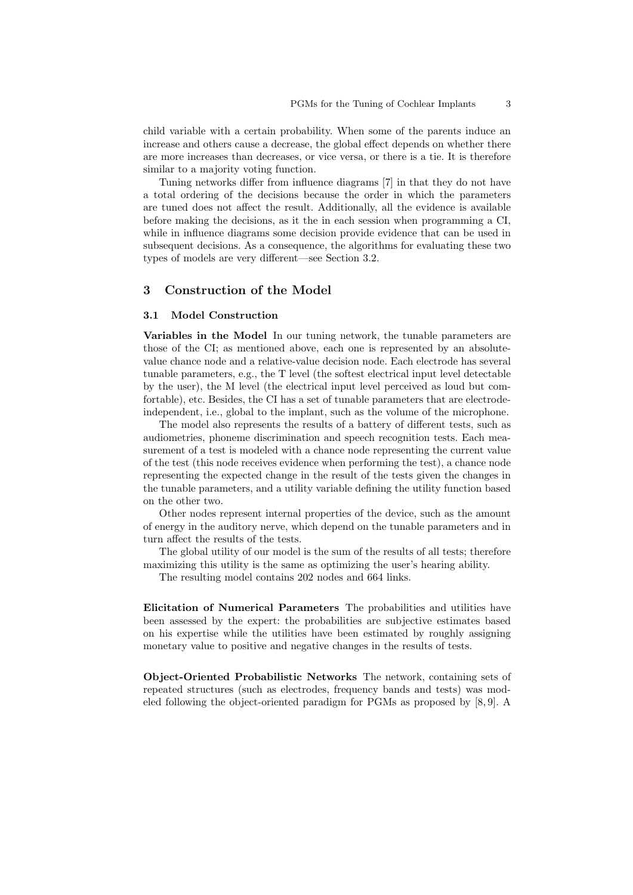child variable with a certain probability. When some of the parents induce an increase and others cause a decrease, the global effect depends on whether there are more increases than decreases, or vice versa, or there is a tie. It is therefore similar to a majority voting function.

Tuning networks differ from influence diagrams [7] in that they do not have a total ordering of the decisions because the order in which the parameters are tuned does not affect the result. Additionally, all the evidence is available before making the decisions, as it the in each session when programming a CI, while in influence diagrams some decision provide evidence that can be used in subsequent decisions. As a consequence, the algorithms for evaluating these two types of models are very different—see Section 3.2.

## 3 Construction of the Model

## 3.1 Model Construction

Variables in the Model In our tuning network, the tunable parameters are those of the CI; as mentioned above, each one is represented by an absolutevalue chance node and a relative-value decision node. Each electrode has several tunable parameters, e.g., the T level (the softest electrical input level detectable by the user), the M level (the electrical input level perceived as loud but comfortable), etc. Besides, the CI has a set of tunable parameters that are electrodeindependent, i.e., global to the implant, such as the volume of the microphone.

The model also represents the results of a battery of different tests, such as audiometries, phoneme discrimination and speech recognition tests. Each measurement of a test is modeled with a chance node representing the current value of the test (this node receives evidence when performing the test), a chance node representing the expected change in the result of the tests given the changes in the tunable parameters, and a utility variable defining the utility function based on the other two.

Other nodes represent internal properties of the device, such as the amount of energy in the auditory nerve, which depend on the tunable parameters and in turn affect the results of the tests.

The global utility of our model is the sum of the results of all tests; therefore maximizing this utility is the same as optimizing the user's hearing ability.

The resulting model contains 202 nodes and 664 links.

Elicitation of Numerical Parameters The probabilities and utilities have been assessed by the expert: the probabilities are subjective estimates based on his expertise while the utilities have been estimated by roughly assigning monetary value to positive and negative changes in the results of tests.

Object-Oriented Probabilistic Networks The network, containing sets of repeated structures (such as electrodes, frequency bands and tests) was modeled following the object-oriented paradigm for PGMs as proposed by [8, 9]. A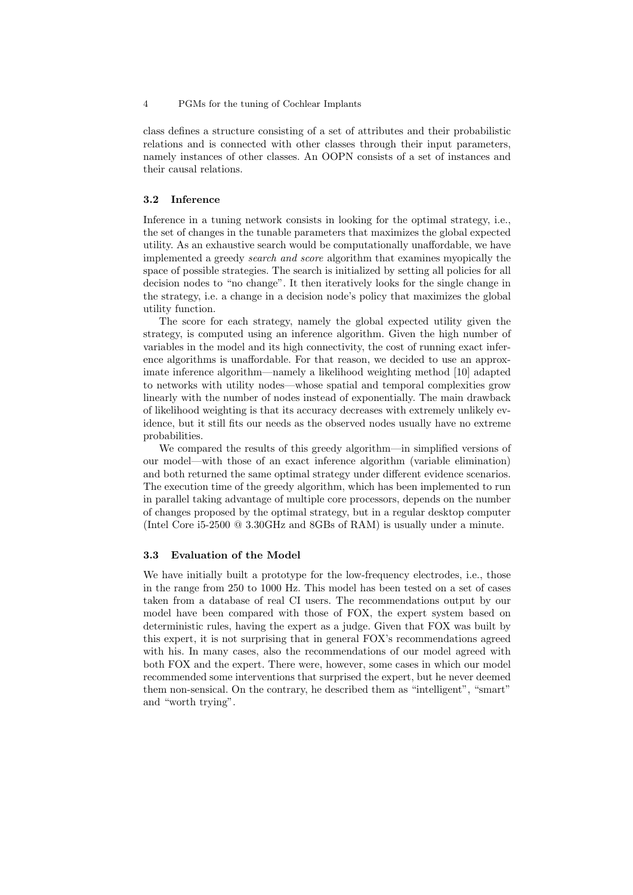#### 4 PGMs for the tuning of Cochlear Implants

class defines a structure consisting of a set of attributes and their probabilistic relations and is connected with other classes through their input parameters, namely instances of other classes. An OOPN consists of a set of instances and their causal relations.

## 3.2 Inference

Inference in a tuning network consists in looking for the optimal strategy, i.e., the set of changes in the tunable parameters that maximizes the global expected utility. As an exhaustive search would be computationally unaffordable, we have implemented a greedy search and score algorithm that examines myopically the space of possible strategies. The search is initialized by setting all policies for all decision nodes to "no change". It then iteratively looks for the single change in the strategy, i.e. a change in a decision node's policy that maximizes the global utility function.

The score for each strategy, namely the global expected utility given the strategy, is computed using an inference algorithm. Given the high number of variables in the model and its high connectivity, the cost of running exact inference algorithms is unaffordable. For that reason, we decided to use an approximate inference algorithm—namely a likelihood weighting method [10] adapted to networks with utility nodes—whose spatial and temporal complexities grow linearly with the number of nodes instead of exponentially. The main drawback of likelihood weighting is that its accuracy decreases with extremely unlikely evidence, but it still fits our needs as the observed nodes usually have no extreme probabilities.

We compared the results of this greedy algorithm—in simplified versions of our model—with those of an exact inference algorithm (variable elimination) and both returned the same optimal strategy under different evidence scenarios. The execution time of the greedy algorithm, which has been implemented to run in parallel taking advantage of multiple core processors, depends on the number of changes proposed by the optimal strategy, but in a regular desktop computer (Intel Core i5-2500 @ 3.30GHz and 8GBs of RAM) is usually under a minute.

## 3.3 Evaluation of the Model

We have initially built a prototype for the low-frequency electrodes, i.e., those in the range from 250 to 1000 Hz. This model has been tested on a set of cases taken from a database of real CI users. The recommendations output by our model have been compared with those of FOX, the expert system based on deterministic rules, having the expert as a judge. Given that FOX was built by this expert, it is not surprising that in general FOX's recommendations agreed with his. In many cases, also the recommendations of our model agreed with both FOX and the expert. There were, however, some cases in which our model recommended some interventions that surprised the expert, but he never deemed them non-sensical. On the contrary, he described them as "intelligent", "smart" and "worth trying".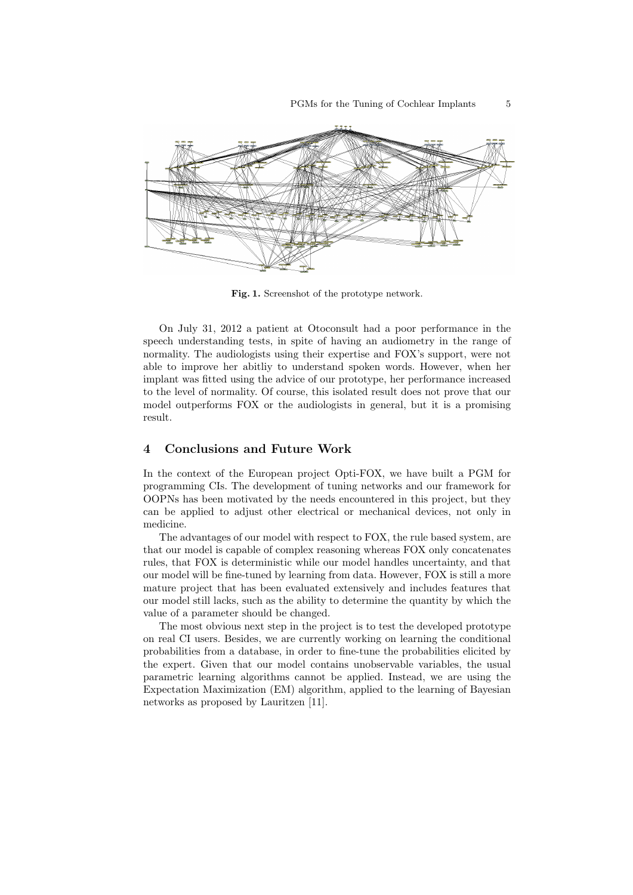

Fig. 1. Screenshot of the prototype network.

On July 31, 2012 a patient at Otoconsult had a poor performance in the speech understanding tests, in spite of having an audiometry in the range of normality. The audiologists using their expertise and FOX's support, were not able to improve her abitliy to understand spoken words. However, when her implant was fitted using the advice of our prototype, her performance increased to the level of normality. Of course, this isolated result does not prove that our model outperforms FOX or the audiologists in general, but it is a promising result.

# 4 Conclusions and Future Work

In the context of the European project Opti-FOX, we have built a PGM for programming CIs. The development of tuning networks and our framework for OOPNs has been motivated by the needs encountered in this project, but they can be applied to adjust other electrical or mechanical devices, not only in medicine.

The advantages of our model with respect to FOX, the rule based system, are that our model is capable of complex reasoning whereas FOX only concatenates rules, that FOX is deterministic while our model handles uncertainty, and that our model will be fine-tuned by learning from data. However, FOX is still a more mature project that has been evaluated extensively and includes features that our model still lacks, such as the ability to determine the quantity by which the value of a parameter should be changed.

The most obvious next step in the project is to test the developed prototype on real CI users. Besides, we are currently working on learning the conditional probabilities from a database, in order to fine-tune the probabilities elicited by the expert. Given that our model contains unobservable variables, the usual parametric learning algorithms cannot be applied. Instead, we are using the Expectation Maximization (EM) algorithm, applied to the learning of Bayesian networks as proposed by Lauritzen [11].